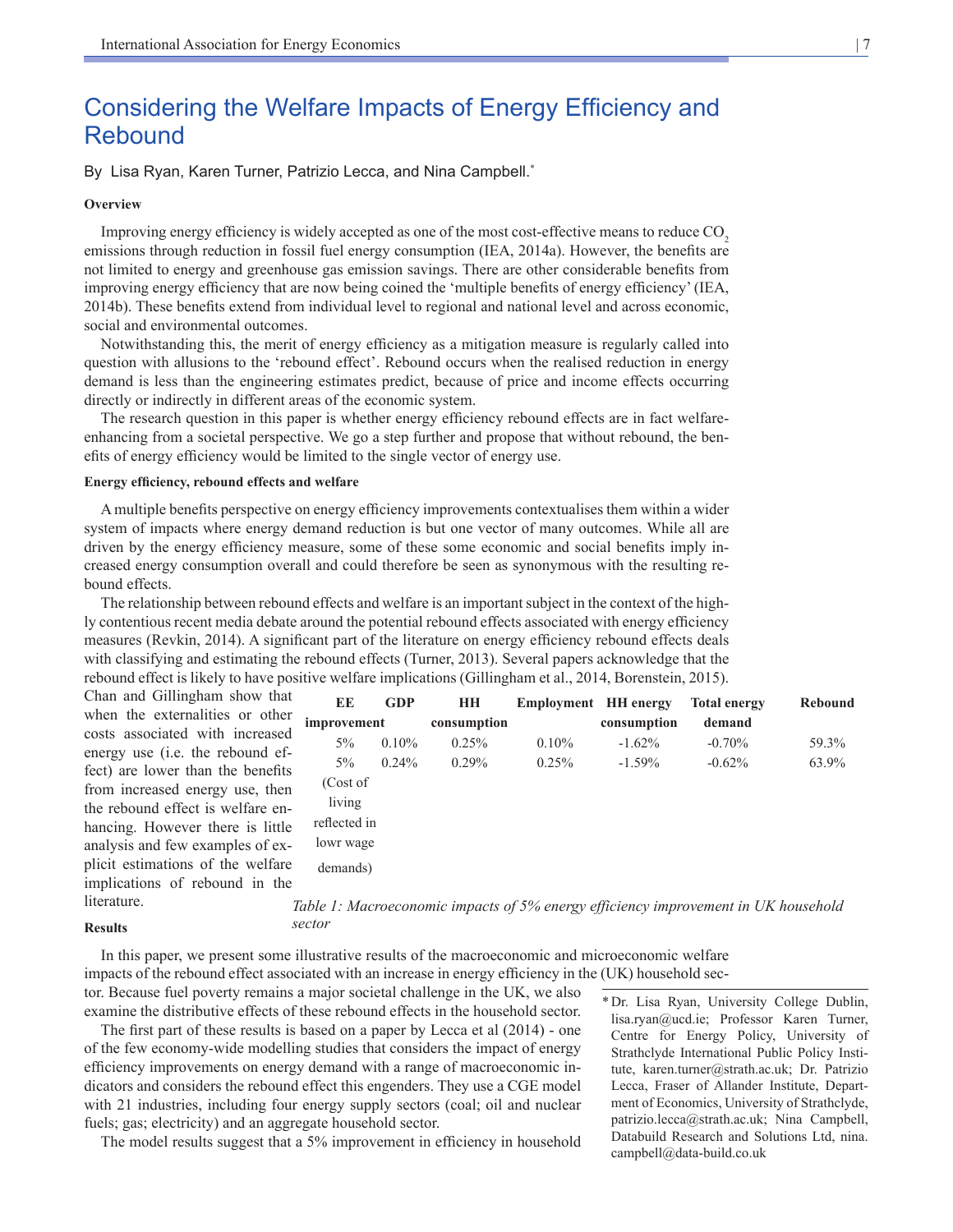# Considering the Welfare Impacts of Energy Efficiency and Rebound

By Lisa Ryan, Karen Turner, Patrizio Lecca, and Nina Campbell.<sup>\*</sup>

#### **Overview**

Improving energy efficiency is widely accepted as one of the most cost-effective means to reduce CO<sub>2</sub> emissions through reduction in fossil fuel energy consumption (IEA, 2014a). However, the benefits are not limited to energy and greenhouse gas emission savings. There are other considerable benefits from improving energy efficiency that are now being coined the 'multiple benefits of energy efficiency' (IEA, 2014b). These benefits extend from individual level to regional and national level and across economic, social and environmental outcomes.

Notwithstanding this, the merit of energy efficiency as a mitigation measure is regularly called into question with allusions to the 'rebound effect'. Rebound occurs when the realised reduction in energy demand is less than the engineering estimates predict, because of price and income effects occurring directly or indirectly in different areas of the economic system.

The research question in this paper is whether energy efficiency rebound effects are in fact welfareenhancing from a societal perspective. We go a step further and propose that without rebound, the benefits of energy efficiency would be limited to the single vector of energy use.

## **Energy efficiency, rebound effects and welfare**

A multiple benefits perspective on energy efficiency improvements contextualises them within a wider system of impacts where energy demand reduction is but one vector of many outcomes. While all are driven by the energy efficiency measure, some of these some economic and social benefits imply increased energy consumption overall and could therefore be seen as synonymous with the resulting rebound effects.

The relationship between rebound effects and welfare is an important subject in the context of the highly contentious recent media debate around the potential rebound effects associated with energy efficiency measures (Revkin, 2014). A significant part of the literature on energy efficiency rebound effects deals with classifying and estimating the rebound effects (Turner, 2013). Several papers acknowledge that the rebound effect is likely to have positive welfare implications (Gillingham et al., 2014, Borenstein, 2015).

Chan and Gillingham show that when the externalities or other costs associated with increased energy use (i.e. the rebound effect) are lower than the benefits from increased energy use, then the rebound effect is welfare enhancing. However there is little analysis and few examples of explicit estimations of the welfare implications of rebound in the literature.

**Results**

In this paper, we present some illustrative results of the macroeconomic and microeconomic welfare impacts of the rebound effect associated with an increase in energy efficiency in the (UK) household sector. Because fuel poverty remains a major societal challenge in the UK, we also

examine the distributive effects of these rebound effects in the household sector. The first part of these results is based on a paper by Lecca et al (2014) - one of the few economy-wide modelling studies that considers the impact of energy efficiency improvements on energy demand with a range of macroeconomic indicators and considers the rebound effect this engenders. They use a CGE model with 21 industries, including four energy supply sectors (coal; oil and nuclear fuels; gas; electricity) and an aggregate household sector.

The model results suggest that a 5% improvement in efficiency in household

\*Dr. Lisa Ryan, University College Dublin, lisa.ryan@ucd.ie; Professor Karen Turner, Centre for Energy Policy, University of Strathclyde International Public Policy Institute, karen.turner@strath.ac.uk; Dr. Patrizio Lecca, Fraser of Allander Institute, Department of Economics, University of Strathclyde, patrizio.lecca@strath.ac.uk; Nina Campbell, Databuild Research and Solutions Ltd, nina. campbell@data-build.co.uk

| EE           | <b>GDP</b> | HH          | <b>Employment</b> HH energy |             | <b>Total energy</b> | Rebound |
|--------------|------------|-------------|-----------------------------|-------------|---------------------|---------|
| improvement  |            | consumption |                             | consumption | demand              |         |
| $5\%$        | $0.10\%$   | 0.25%       | $0.10\%$                    | $-1.62\%$   | $-0.70\%$           | 59.3%   |
| $5\%$        | $0.24\%$   | $0.29\%$    | $0.25\%$                    | $-1.59\%$   | $-0.62\%$           | 63.9%   |
| (Cost of     |            |             |                             |             |                     |         |
| living       |            |             |                             |             |                     |         |
| reflected in |            |             |                             |             |                     |         |
| lowr wage    |            |             |                             |             |                     |         |
| demands)     |            |             |                             |             |                     |         |

*Table 1: Macroeconomic impacts of 5% energy efficiency improvement in UK household sector*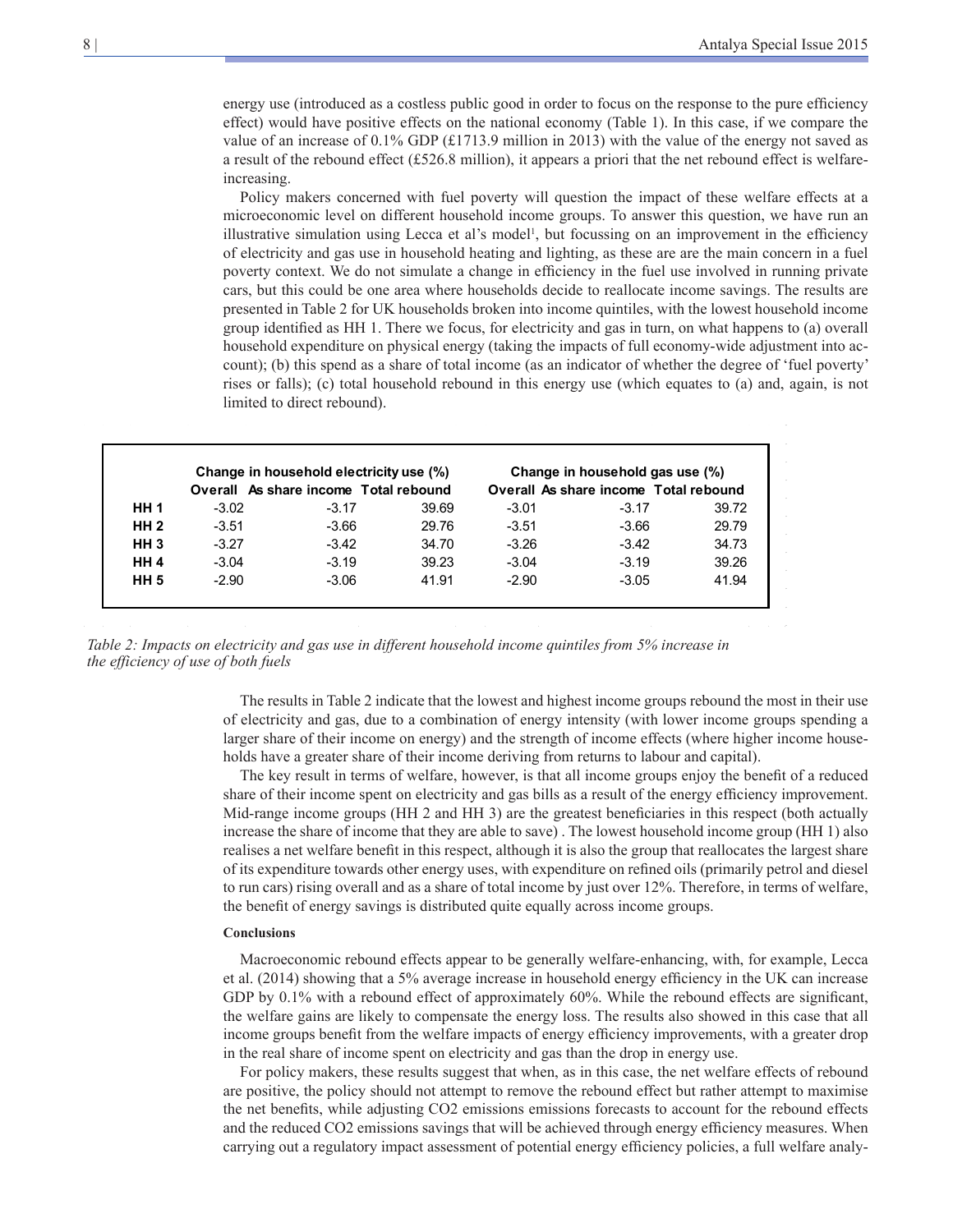energy use (introduced as a costless public good in order to focus on the response to the pure efficiency effect) would have positive effects on the national economy (Table 1). In this case, if we compare the value of an increase of 0.1% GDP (£1713.9 million in 2013) with the value of the energy not saved as a result of the rebound effect (£526.8 million), it appears a priori that the net rebound effect is welfareincreasing.

Policy makers concerned with fuel poverty will question the impact of these welfare effects at a microeconomic level on different household income groups. To answer this question, we have run an illustrative simulation using Lecca et al's model<sup>1</sup>, but focussing on an improvement in the efficiency of electricity and gas use in household heating and lighting, as these are are the main concern in a fuel poverty context. We do not simulate a change in efficiency in the fuel use involved in running private cars, but this could be one area where households decide to reallocate income savings. The results are presented in Table 2 for UK households broken into income quintiles, with the lowest household income group identified as HH 1. There we focus, for electricity and gas in turn, on what happens to (a) overall household expenditure on physical energy (taking the impacts of full economy-wide adjustment into account); (b) this spend as a share of total income (as an indicator of whether the degree of 'fuel poverty' rises or falls); (c) total household rebound in this energy use (which equates to (a) and, again, is not limited to direct rebound).

|                 | Change in household electricity use (%) |                                       |       | Change in household gas use (%) |                                       |       |
|-----------------|-----------------------------------------|---------------------------------------|-------|---------------------------------|---------------------------------------|-------|
|                 |                                         | Overall As share income Total rebound |       |                                 | Overall As share income Total rebound |       |
| <b>HH 1</b>     | $-3.02$                                 | $-3.17$                               | 39.69 | $-3.01$                         | $-3.17$                               | 39.72 |
| HH <sub>2</sub> | $-3.51$                                 | $-3.66$                               | 29.76 | $-3.51$                         | $-3.66$                               | 29.79 |
| HH <sub>3</sub> | $-3.27$                                 | $-3.42$                               | 34.70 | $-3.26$                         | $-3.42$                               | 34.73 |
| HH <sub>4</sub> | $-3.04$                                 | $-3.19$                               | 39.23 | $-3.04$                         | $-3.19$                               | 39.26 |
| <b>HH 5</b>     | $-2.90$                                 | $-3.06$                               | 41.91 | $-2.90$                         | $-3.05$                               | 41.94 |

*Table 2: Impacts on electricity and gas use in different household income quintiles from 5% increase in the efficiency of use of both fuels*

The results in Table 2 indicate that the lowest and highest income groups rebound the most in their use of electricity and gas, due to a combination of energy intensity (with lower income groups spending a larger share of their income on energy) and the strength of income effects (where higher income households have a greater share of their income deriving from returns to labour and capital).

The key result in terms of welfare, however, is that all income groups enjoy the benefit of a reduced share of their income spent on electricity and gas bills as a result of the energy efficiency improvement. Mid-range income groups (HH 2 and HH 3) are the greatest beneficiaries in this respect (both actually increase the share of income that they are able to save) . The lowest household income group (HH 1) also realises a net welfare benefit in this respect, although it is also the group that reallocates the largest share of its expenditure towards other energy uses, with expenditure on refined oils (primarily petrol and diesel to run cars) rising overall and as a share of total income by just over 12%. Therefore, in terms of welfare, the benefit of energy savings is distributed quite equally across income groups.

#### **Conclusions**

Macroeconomic rebound effects appear to be generally welfare-enhancing, with, for example, Lecca et al. (2014) showing that a 5% average increase in household energy efficiency in the UK can increase GDP by 0.1% with a rebound effect of approximately 60%. While the rebound effects are significant, the welfare gains are likely to compensate the energy loss. The results also showed in this case that all income groups benefit from the welfare impacts of energy efficiency improvements, with a greater drop in the real share of income spent on electricity and gas than the drop in energy use.

For policy makers, these results suggest that when, as in this case, the net welfare effects of rebound are positive, the policy should not attempt to remove the rebound effect but rather attempt to maximise the net benefits, while adjusting CO2 emissions emissions forecasts to account for the rebound effects and the reduced CO2 emissions savings that will be achieved through energy efficiency measures. When carrying out a regulatory impact assessment of potential energy efficiency policies, a full welfare analy